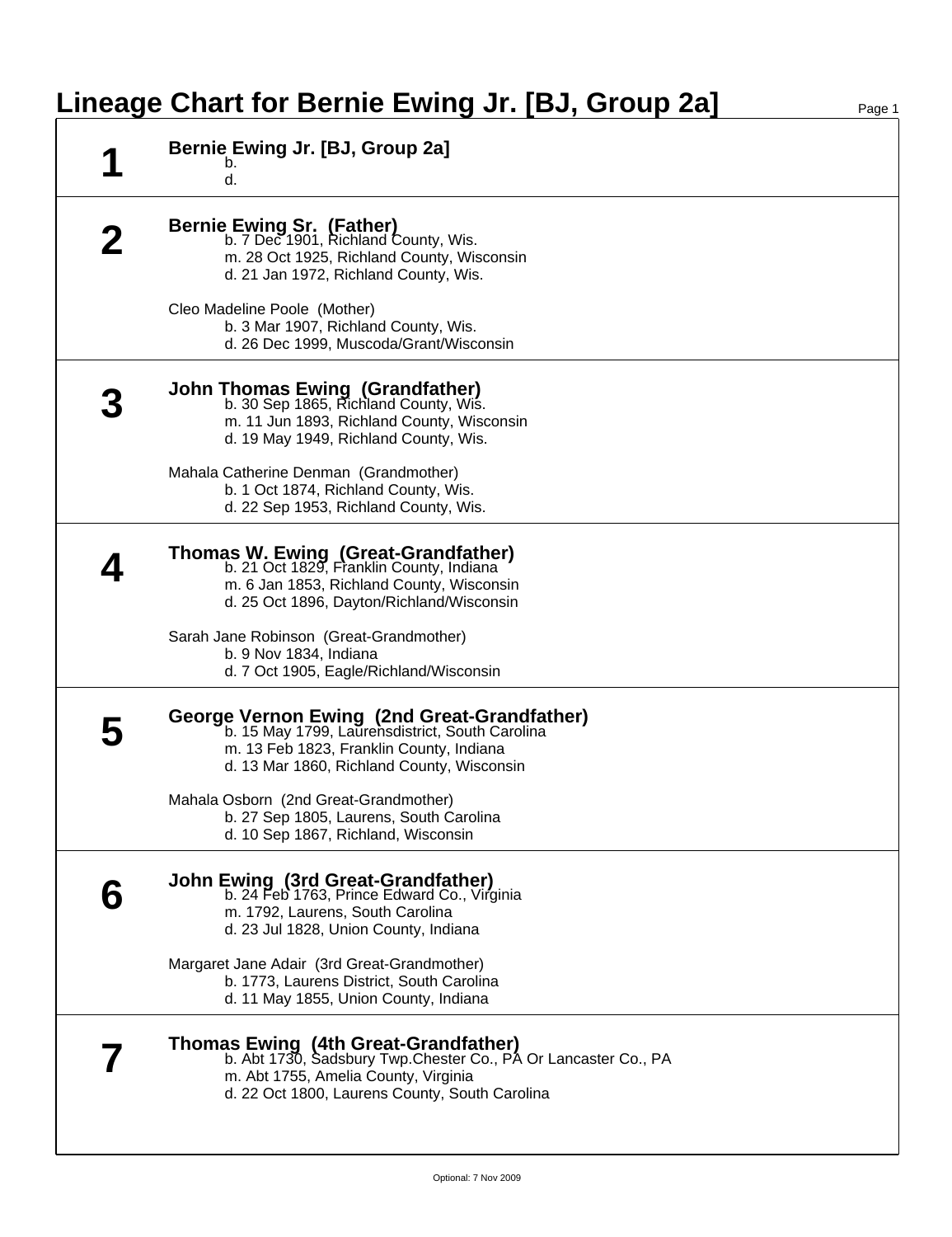## **Lineage Chart for Bernie Ewing Jr. [BJ, Group 2a]** Page 1

| Bernie Ewing Jr. [BJ, Group 2a]<br>b.<br>d.                                                                                                                                                              |
|----------------------------------------------------------------------------------------------------------------------------------------------------------------------------------------------------------|
| <b>Bernie Ewing Sr. (Father)</b><br>b. 7 Dec 1901, Richland County, Wis.<br>m. 28 Oct 1925, Richland County, Wisconsin<br>d. 21 Jan 1972, Richland County, Wis.                                          |
| Cleo Madeline Poole (Mother)<br>b. 3 Mar 1907, Richland County, Wis.<br>d. 26 Dec 1999, Muscoda/Grant/Wisconsin                                                                                          |
| <b>John Thomas Ewing (Grandfather)</b><br>b. 30 Sep 1865, Richland County, Wis.<br>m. 11 Jun 1893, Richland County, Wisconsin<br>d. 19 May 1949, Richland County, Wis.                                   |
| Mahala Catherine Denman (Grandmother)<br>b. 1 Oct 1874, Richland County, Wis.<br>d. 22 Sep 1953, Richland County, Wis.                                                                                   |
| Thomas W. Ewing (Great-Grandfather)<br>b. 21 Oct 1829, Franklin County, Indiana<br>m. 6 Jan 1853, Richland County, Wisconsin<br>d. 25 Oct 1896, Dayton/Richland/Wisconsin                                |
| Sarah Jane Robinson (Great-Grandmother)<br>b. 9 Nov 1834, Indiana<br>d. 7 Oct 1905, Eagle/Richland/Wisconsin                                                                                             |
| George Vernon Ewing (2nd Great-Grandfather)<br>b. 15 May 1799, Laurensdistrict, South Carolina<br>m. 13 Feb 1823, Franklin County, Indiana<br>d. 13 Mar 1860, Richland County, Wisconsin                 |
| Mahala Osborn (2nd Great-Grandmother)<br>b. 27 Sep 1805, Laurens, South Carolina<br>d. 10 Sep 1867, Richland, Wisconsin                                                                                  |
| <b>John Ewing (3rd Great-Grandfather)</b><br>b. 24 Feb 1763, Prince Edward Co., Virginia<br>m. 1792, Laurens, South Carolina<br>d. 23 Jul 1828, Union County, Indiana                                    |
| Margaret Jane Adair (3rd Great-Grandmother)<br>b. 1773, Laurens District, South Carolina<br>d. 11 May 1855, Union County, Indiana                                                                        |
| <b>Thomas Ewing (4th Great-Grandfather)</b><br>b. Abt 1730, Sadsbury Twp. Chester Co., PA Or Lancaster Co., PA<br>m. Abt 1755, Amelia County, Virginia<br>d. 22 Oct 1800, Laurens County, South Carolina |